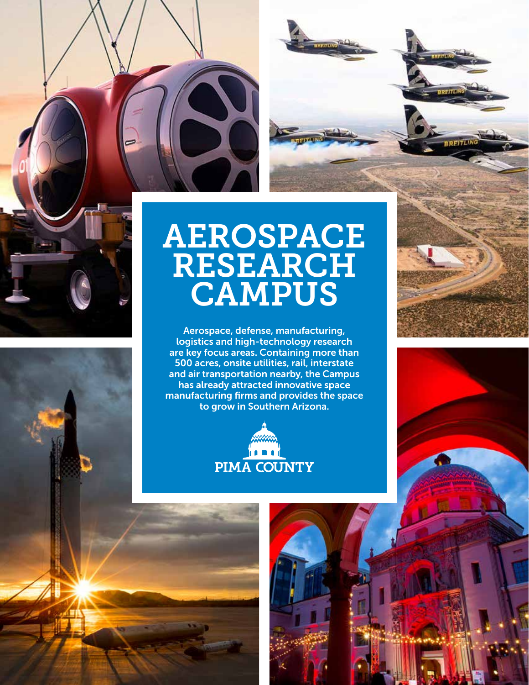





## AEROSPACE RESEARCH CAMPUS

Aerospace, defense, manufacturing, logistics and high-technology research are key focus areas. Containing more than 500 acres, onsite utilities, rail, interstate and air transportation nearby, the Campus has already attracted innovative space manufacturing firms and provides the space to grow in Southern Arizona.